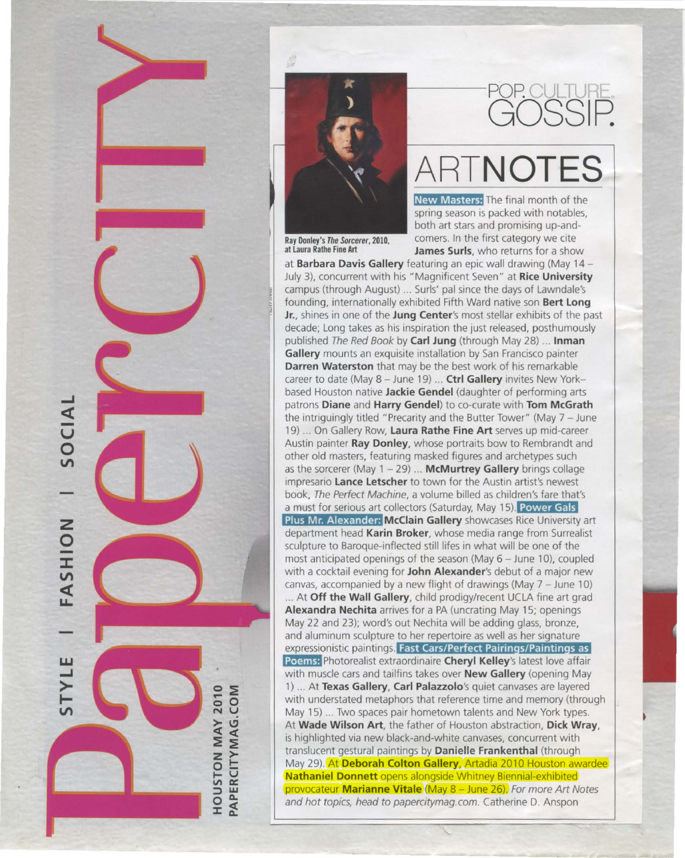



## POP CULTURI GOSSIP.

# **ARTNOTES**

**New Masters:** The final month of the spring season is packed with notables, both art stars and promising up-andcomers. In the first category we cite **Ray Donley's The Sorcerer, 2010,** Comers. In the first category we cite at Laura Rathe Fine Art **James Surls**, who returns for a show

at **Barbara Davis Gallery** featuring an epic wall drawing (May 14 - July 3), concurrent with his "Magnificent Seven" at **Rice University**  campus (through August) ... Surls' pal since the days of Lawndale's founding, internationally exhibited Fifth Ward native son **Bert Long Jr.,** shines in one of the **Jung Center's** most stellar exhibits of the past decade; Long takes as his inspiration the just released, posthumously published The Red Book by **Carl Jung** (through May 28) ... **Inman Gallery** mounts an exquisite installation by San Francisco painter **Darren Waterston** that may be the best work of his remarkable career to date (May 8 - June 19) ... Ctrl Gallery invites New Yorkbased Houston native **Jackie Gendel** (daughter of performing arts patrons **Diane** and **Harry Gendel)** to co-curate with **Tom McGrath**  the intriguing ly titled "Precarity and the Butter Tower" (May 7- June 19) ... On Gallery Row, **Laura Rathe Fine Art** serves up mid-career Austin painter **Ray Donley,** whose portraits bow to Rembrandt and other old masters, featuring masked figures and archetypes such as the sorcerer (May 1 - 29) ... **McMurtrey Gallery** brings collage impresario **Lance Letscher** to town for the Austin artist's newest book, The Perfect Machine, a volume billed as children's fare that's a must for serious art collectors (Saturday, May 15). Power Gals **Plus Mr. Alexander: McClain Gallery** showcases Rice University *art*  department head **Karin Broker,** whose media range from Surrealist sculpture to Baroque-inflected still lifes in what will be one of the most anticipated openings of the season (May  $6 -$  June 10), coupled with a cocktail evening for **John Alexander's** debut of a major new canvas, accompanied by a new flight of drawings (May 7 - June 10) ... At **Off the Wall Gallery,** child prodigy/recent UCLA fine art grad **Alexandra Nechita** arrives for *a* PA (uncrating May 15; openings May 22 and 23); word's out Nechita will be adding glass, bronze, and aluminum sculpture to her repertoire as well as her signature expressionistic paintings. **Fast Cars/Perfect Pairings/Paintings as Poems:** Photorealist extraordinaire **Cheryl Kelley's** latest love affair with muscle cars and tailfins takes over **New Gallery** (opening May 1) ... At **Texas Gallery, Carl Palazzolo's** quiet canvases are layered with understated metaphors that reference time and memory (through

May 15) ... Two spaces pair hometown talents and New York types. At **Wade Wilson Art,** the father of Houston abstraction, **Dick Wray,** is highlighted via new black-and-white canvases, concurrent with translucent gestural paintings by **Danielle Frankenthal** (through May 29). At **Deborah Colton Gallery,** Artadia 2010 Houston awardee **Nathaniel Donnett** opens alongside Whitney Biennial-exhibited provocateur **Marianne Vitale** (May 8- June 26). For more Art Notes and hot topics, head to papercitymag.com. Catherine D. Anspon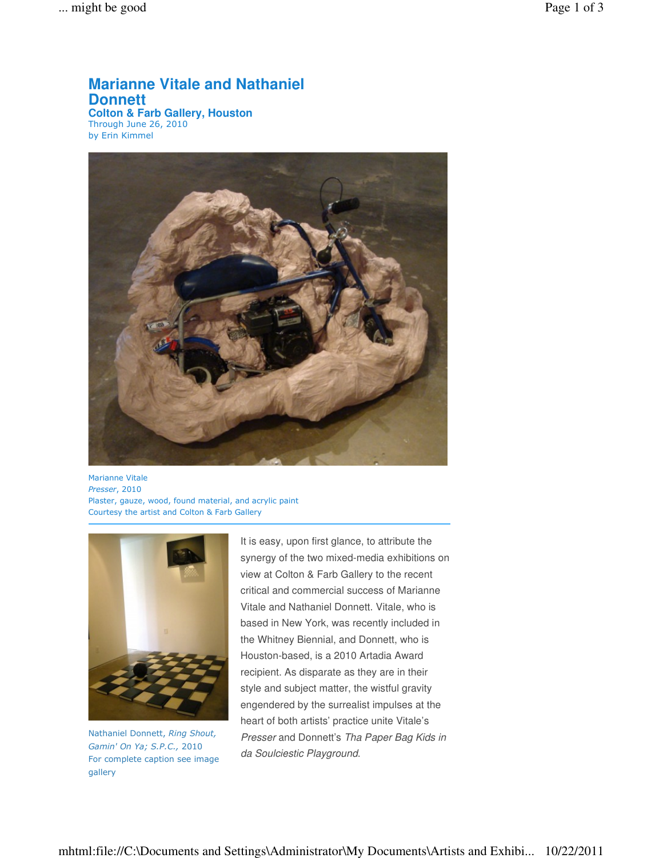### **Marianne Vitale and Nathaniel Donnett**

**Colton & Farb Gallery, Houston** Through June 26, 2010 by Erin Kimmel



Marianne Vitale Presser, 2010 Plaster, gauze, wood, found material, and acrylic paint Courtesy the artist and Colton & Farb Gallery



Nathaniel Donnett, Ring Shout, Gamin' On Ya; S.P.C., 2010 For complete caption see image gallery

It is easy, upon first glance, to attribute the synergy of the two mixed-media exhibitions on view at Colton & Farb Gallery to the recent critical and commercial success of Marianne Vitale and Nathaniel Donnett. Vitale, who is based in New York, was recently included in the Whitney Biennial, and Donnett, who is Houston-based, is a 2010 Artadia Award recipient. As disparate as they are in their style and subject matter, the wistful gravity engendered by the surrealist impulses at the heart of both artists' practice unite Vitale's Presser and Donnett's Tha Paper Bag Kids in da Soulciestic Playground.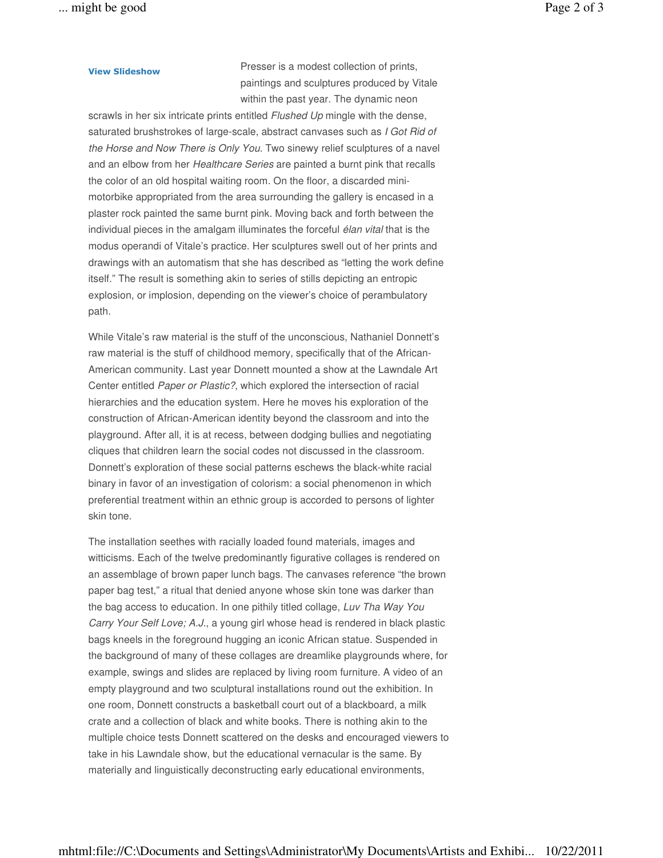View Slideshow Presser is a modest collection of prints, paintings and sculptures produced by Vitale within the past year. The dynamic neon

scrawls in her six intricate prints entitled Flushed Up mingle with the dense, saturated brushstrokes of large-scale, abstract canvases such as I Got Rid of the Horse and Now There is Only You. Two sinewy relief sculptures of a navel and an elbow from her Healthcare Series are painted a burnt pink that recalls the color of an old hospital waiting room. On the floor, a discarded minimotorbike appropriated from the area surrounding the gallery is encased in a plaster rock painted the same burnt pink. Moving back and forth between the individual pieces in the amalgam illuminates the forceful élan vital that is the modus operandi of Vitale's practice. Her sculptures swell out of her prints and drawings with an automatism that she has described as "letting the work define itself." The result is something akin to series of stills depicting an entropic explosion, or implosion, depending on the viewer's choice of perambulatory path.

While Vitale's raw material is the stuff of the unconscious, Nathaniel Donnett's raw material is the stuff of childhood memory, specifically that of the African-American community. Last year Donnett mounted a show at the Lawndale Art Center entitled Paper or Plastic?, which explored the intersection of racial hierarchies and the education system. Here he moves his exploration of the construction of African-American identity beyond the classroom and into the playground. After all, it is at recess, between dodging bullies and negotiating cliques that children learn the social codes not discussed in the classroom. Donnett's exploration of these social patterns eschews the black-white racial binary in favor of an investigation of colorism: a social phenomenon in which preferential treatment within an ethnic group is accorded to persons of lighter skin tone.

The installation seethes with racially loaded found materials, images and witticisms. Each of the twelve predominantly figurative collages is rendered on an assemblage of brown paper lunch bags. The canvases reference "the brown paper bag test," a ritual that denied anyone whose skin tone was darker than the bag access to education. In one pithily titled collage, Luv Tha Way You Carry Your Self Love; A.J., a young girl whose head is rendered in black plastic bags kneels in the foreground hugging an iconic African statue. Suspended in the background of many of these collages are dreamlike playgrounds where, for example, swings and slides are replaced by living room furniture. A video of an empty playground and two sculptural installations round out the exhibition. In one room, Donnett constructs a basketball court out of a blackboard, a milk crate and a collection of black and white books. There is nothing akin to the multiple choice tests Donnett scattered on the desks and encouraged viewers to take in his Lawndale show, but the educational vernacular is the same. By materially and linguistically deconstructing early educational environments,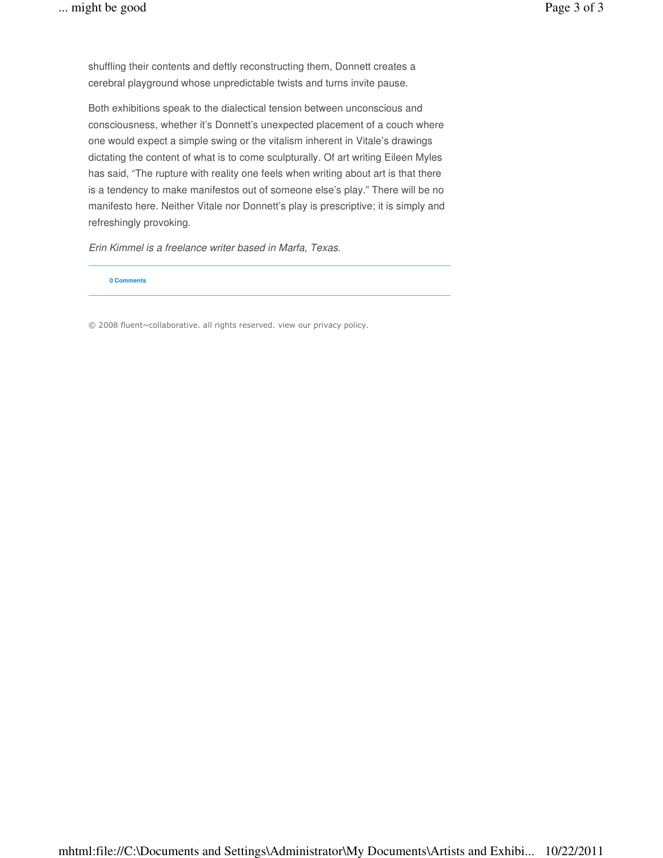shuffling their contents and deftly reconstructing them, Donnett creates a cerebral playground whose unpredictable twists and turns invite pause.

Both exhibitions speak to the dialectical tension between unconscious and consciousness, whether it's Donnett's unexpected placement of a couch where one would expect a simple swing or the vitalism inherent in Vitale's drawings dictating the content of what is to come sculpturally. Of art writing Eileen Myles has said, "The rupture with reality one feels when writing about art is that there is a tendency to make manifestos out of someone else's play." There will be no manifesto here. Neither Vitale nor Donnett's play is prescriptive; it is simply and refreshingly provoking.

Erin Kimmel is a freelance writer based in Marfa, Texas.

#### **0 Comments**

© 2008 fluent~collaborative. all rights reserved. view our privacy policy.